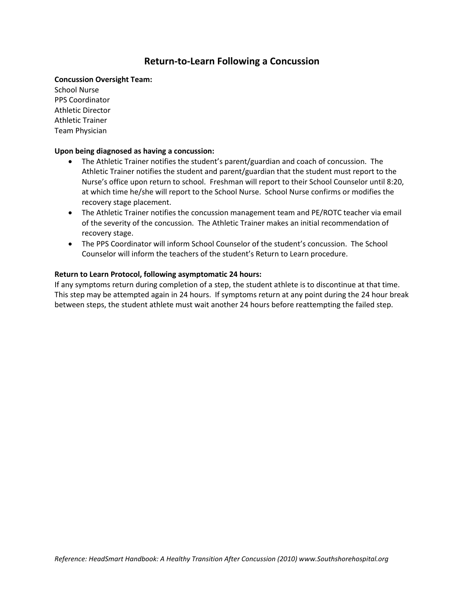## **Return-to-Learn Following a Concussion**

#### **Concussion Oversight Team:**

School Nurse PPS Coordinator Athletic Director Athletic Trainer Team Physician

### **Upon being diagnosed as having a concussion:**

- The Athletic Trainer notifies the student's parent/guardian and coach of concussion. The Athletic Trainer notifies the student and parent/guardian that the student must report to the Nurse's office upon return to school. Freshman will report to their School Counselor until 8:20, at which time he/she will report to the School Nurse. School Nurse confirms or modifies the recovery stage placement.
- The Athletic Trainer notifies the concussion management team and PE/ROTC teacher via email of the severity of the concussion. The Athletic Trainer makes an initial recommendation of recovery stage.
- The PPS Coordinator will inform School Counselor of the student's concussion. The School Counselor will inform the teachers of the student's Return to Learn procedure.

### **Return to Learn Protocol, following asymptomatic 24 hours:**

If any symptoms return during completion of a step, the student athlete is to discontinue at that time. This step may be attempted again in 24 hours. If symptoms return at any point during the 24 hour break between steps, the student athlete must wait another 24 hours before reattempting the failed step.